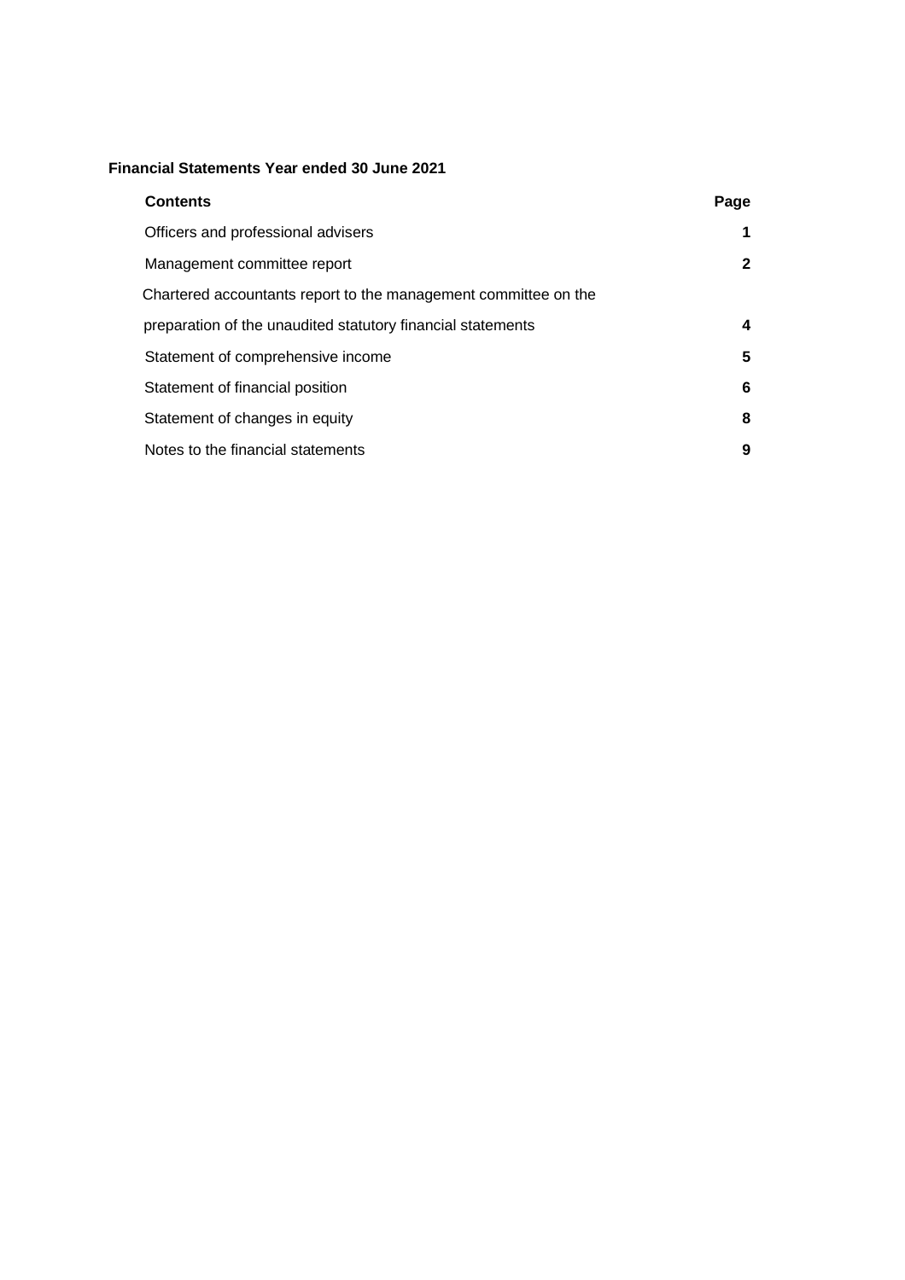### **Financial Statements Year ended 30 June 2021**

| <b>Contents</b>                                                 | Page |
|-----------------------------------------------------------------|------|
| Officers and professional advisers                              |      |
| Management committee report                                     | 2    |
| Chartered accountants report to the management committee on the |      |
| preparation of the unaudited statutory financial statements     | 4    |
| Statement of comprehensive income                               | 5    |
| Statement of financial position                                 | 6    |
| Statement of changes in equity                                  | 8    |
| Notes to the financial statements                               | 9    |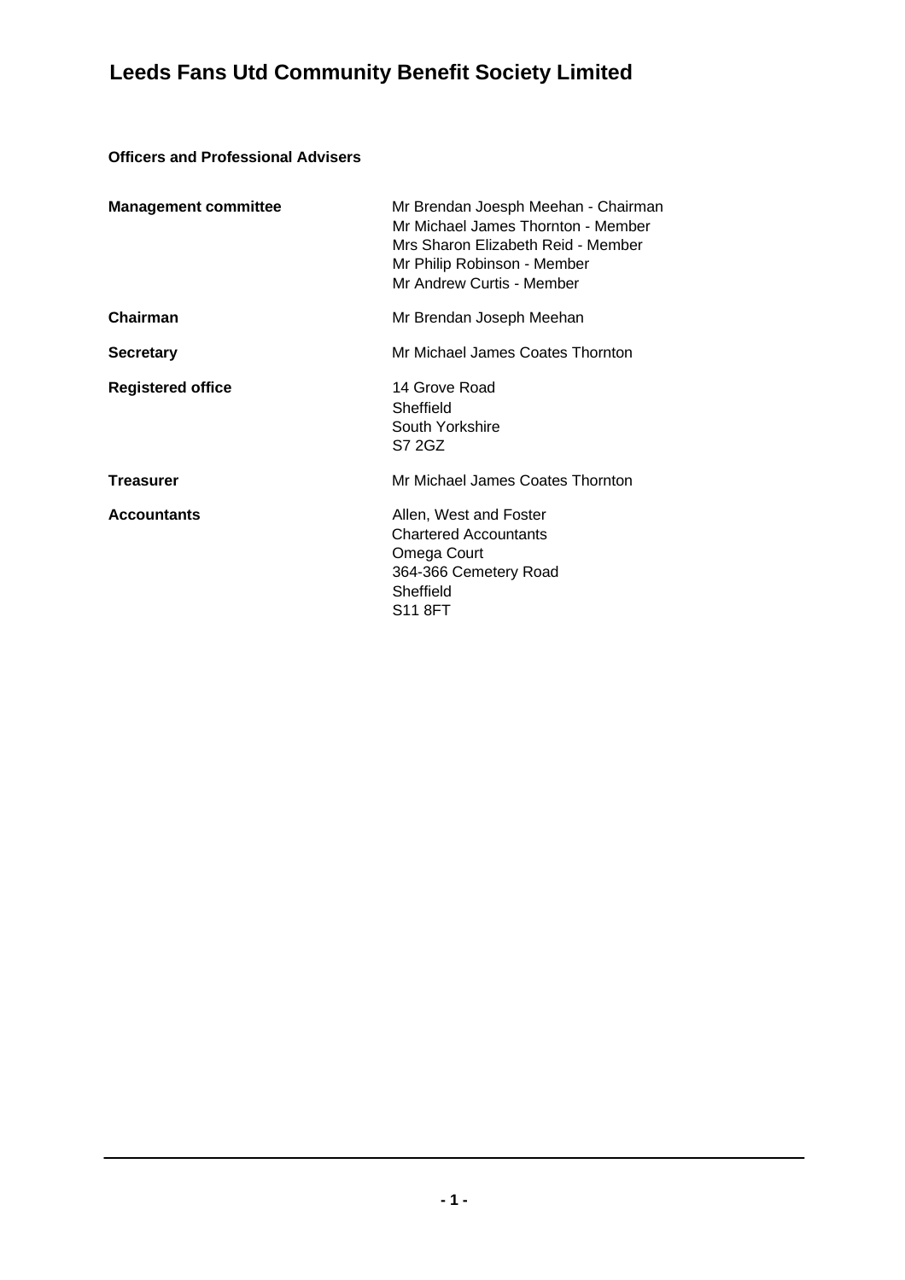### **Officers and Professional Advisers**

| <b>Management committee</b> | Mr Brendan Joesph Meehan - Chairman<br>Mr Michael James Thornton - Member<br>Mrs Sharon Elizabeth Reid - Member<br>Mr Philip Robinson - Member<br>Mr Andrew Curtis - Member |
|-----------------------------|-----------------------------------------------------------------------------------------------------------------------------------------------------------------------------|
| <b>Chairman</b>             | Mr Brendan Joseph Meehan                                                                                                                                                    |
| <b>Secretary</b>            | Mr Michael James Coates Thornton                                                                                                                                            |
| <b>Registered office</b>    | 14 Grove Road<br>Sheffield<br>South Yorkshire<br>S7 2GZ                                                                                                                     |
| <b>Treasurer</b>            | Mr Michael James Coates Thornton                                                                                                                                            |
| <b>Accountants</b>          | Allen, West and Foster<br><b>Chartered Accountants</b><br>Omega Court<br>364-366 Cemetery Road<br>Sheffield<br><b>S11 8FT</b>                                               |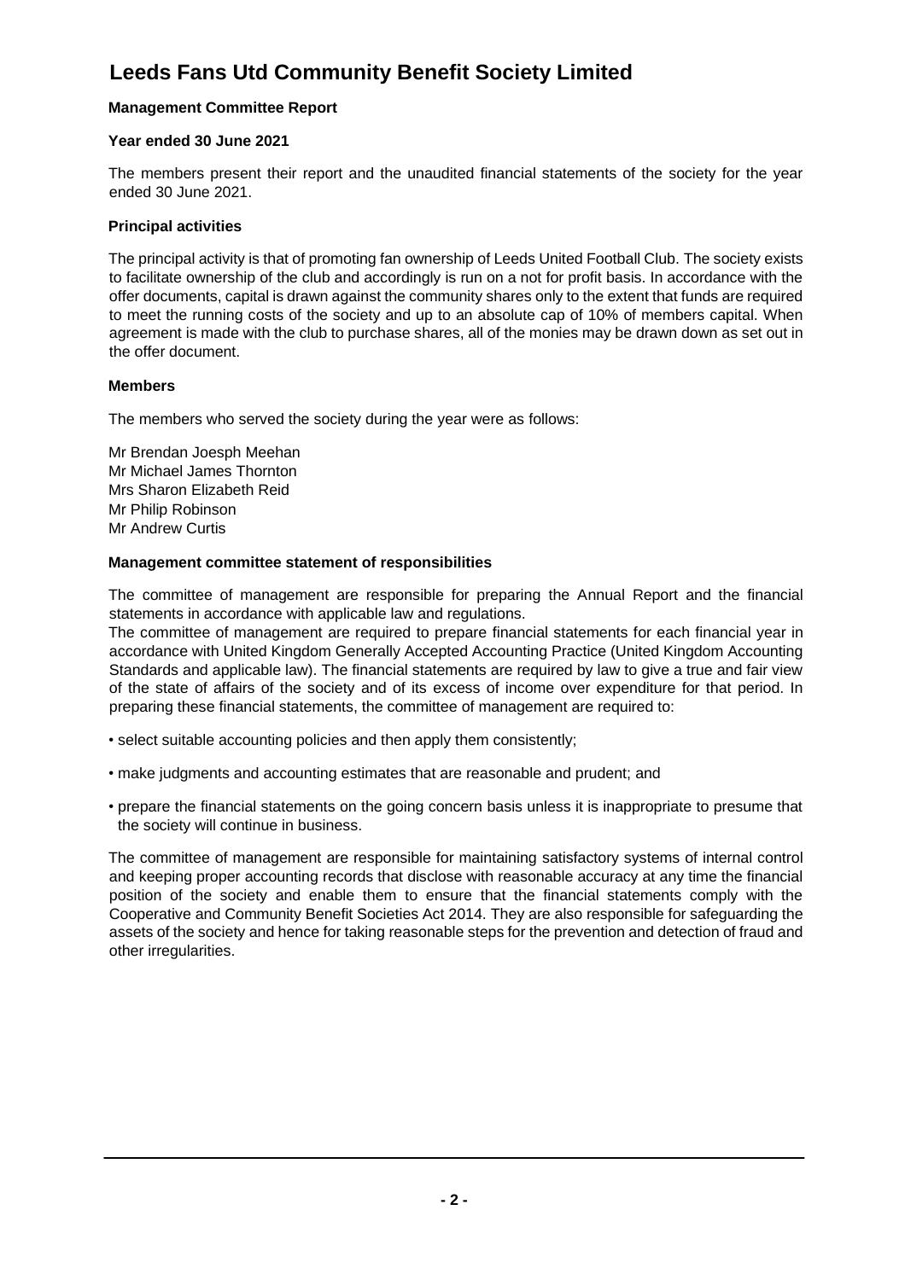### **Management Committee Report**

### **Year ended 30 June 2021**

The members present their report and the unaudited financial statements of the society for the year ended 30 June 2021.

### **Principal activities**

The principal activity is that of promoting fan ownership of Leeds United Football Club. The society exists to facilitate ownership of the club and accordingly is run on a not for profit basis. In accordance with the offer documents, capital is drawn against the community shares only to the extent that funds are required to meet the running costs of the society and up to an absolute cap of 10% of members capital. When agreement is made with the club to purchase shares, all of the monies may be drawn down as set out in the offer document.

### **Members**

The members who served the society during the year were as follows:

Mr Brendan Joesph Meehan Mr Michael James Thornton Mrs Sharon Elizabeth Reid Mr Philip Robinson Mr Andrew Curtis

### **Management committee statement of responsibilities**

The committee of management are responsible for preparing the Annual Report and the financial statements in accordance with applicable law and regulations.

The committee of management are required to prepare financial statements for each financial year in accordance with United Kingdom Generally Accepted Accounting Practice (United Kingdom Accounting Standards and applicable law). The financial statements are required by law to give a true and fair view of the state of affairs of the society and of its excess of income over expenditure for that period. In preparing these financial statements, the committee of management are required to:

- select suitable accounting policies and then apply them consistently;
- make judgments and accounting estimates that are reasonable and prudent; and
- prepare the financial statements on the going concern basis unless it is inappropriate to presume that the society will continue in business.

The committee of management are responsible for maintaining satisfactory systems of internal control and keeping proper accounting records that disclose with reasonable accuracy at any time the financial position of the society and enable them to ensure that the financial statements comply with the Cooperative and Community Benefit Societies Act 2014. They are also responsible for safeguarding the assets of the society and hence for taking reasonable steps for the prevention and detection of fraud and other irregularities.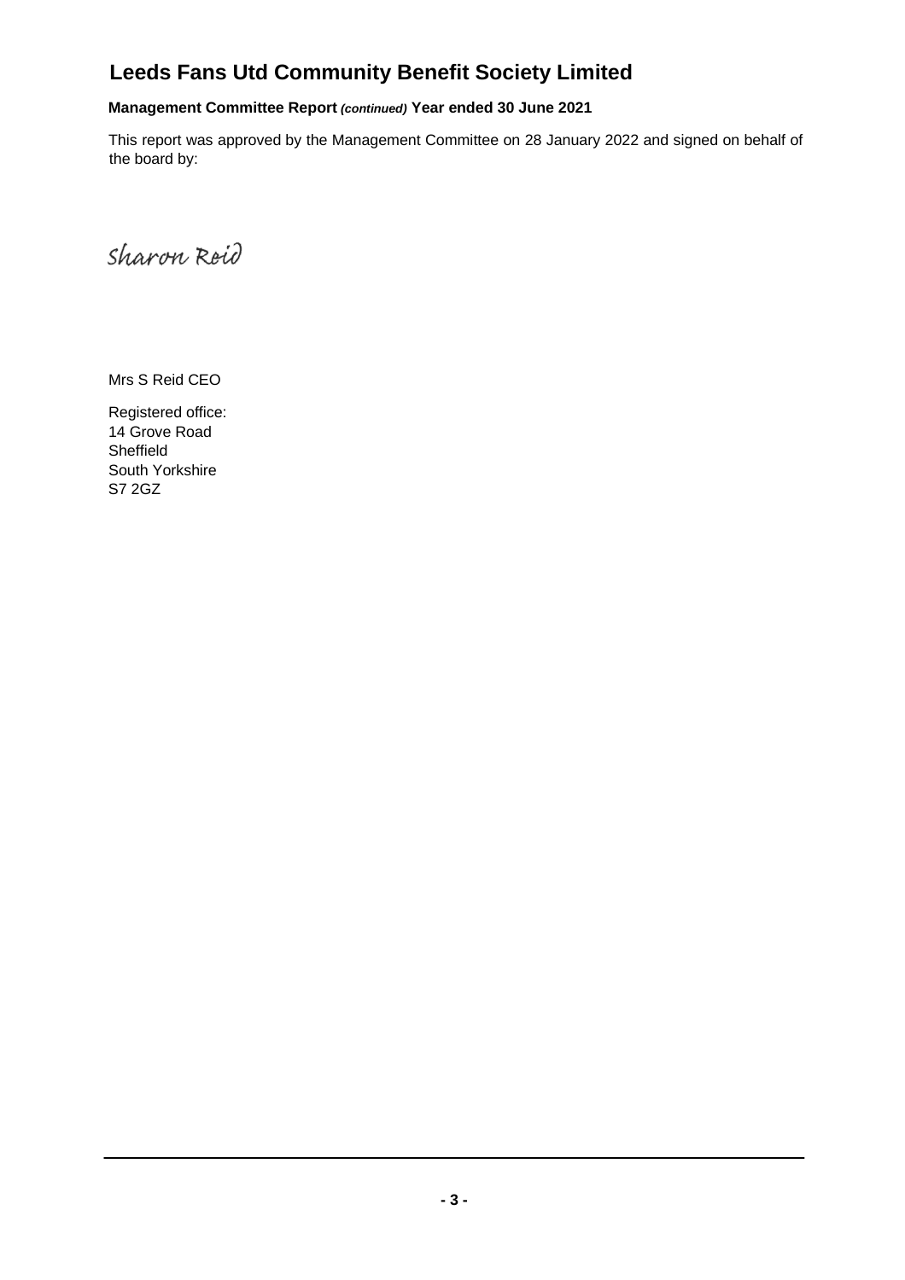### **Management Committee Report** *(continued)* **Year ended 30 June 2021**

This report was approved by the Management Committee on 28 January 2022 and signed on behalf of the board by:

Sharon Reid

Mrs S Reid CEO

Registered office: 14 Grove Road Sheffield South Yorkshire S7 2GZ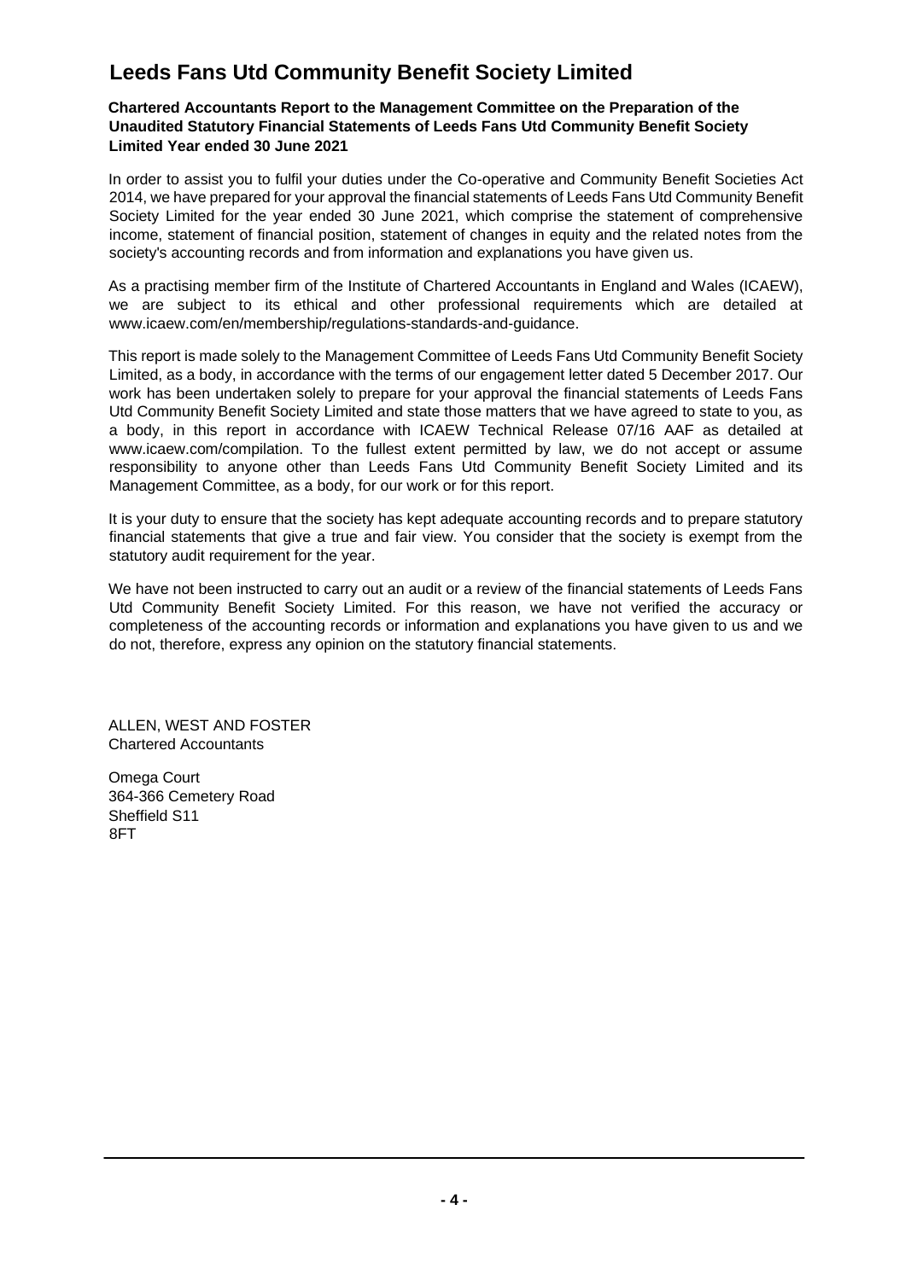### **Chartered Accountants Report to the Management Committee on the Preparation of the Unaudited Statutory Financial Statements of Leeds Fans Utd Community Benefit Society Limited Year ended 30 June 2021**

In order to assist you to fulfil your duties under the Co-operative and Community Benefit Societies Act 2014, we have prepared for your approval the financial statements of Leeds Fans Utd Community Benefit Society Limited for the year ended 30 June 2021, which comprise the statement of comprehensive income, statement of financial position, statement of changes in equity and the related notes from the society's accounting records and from information and explanations you have given us.

As a practising member firm of the Institute of Chartered Accountants in England and Wales (ICAEW), we are subject to its ethical and other professional requirements which are detailed at www.icaew.com/en/membership/regulations-standards-and-guidance.

This report is made solely to the Management Committee of Leeds Fans Utd Community Benefit Society Limited, as a body, in accordance with the terms of our engagement letter dated 5 December 2017. Our work has been undertaken solely to prepare for your approval the financial statements of Leeds Fans Utd Community Benefit Society Limited and state those matters that we have agreed to state to you, as a body, in this report in accordance with ICAEW Technical Release 07/16 AAF as detailed at www.icaew.com/compilation. To the fullest extent permitted by law, we do not accept or assume responsibility to anyone other than Leeds Fans Utd Community Benefit Society Limited and its Management Committee, as a body, for our work or for this report.

It is your duty to ensure that the society has kept adequate accounting records and to prepare statutory financial statements that give a true and fair view. You consider that the society is exempt from the statutory audit requirement for the year.

We have not been instructed to carry out an audit or a review of the financial statements of Leeds Fans Utd Community Benefit Society Limited. For this reason, we have not verified the accuracy or completeness of the accounting records or information and explanations you have given to us and we do not, therefore, express any opinion on the statutory financial statements.

ALLEN, WEST AND FOSTER Chartered Accountants

Omega Court 364-366 Cemetery Road Sheffield S11 8FT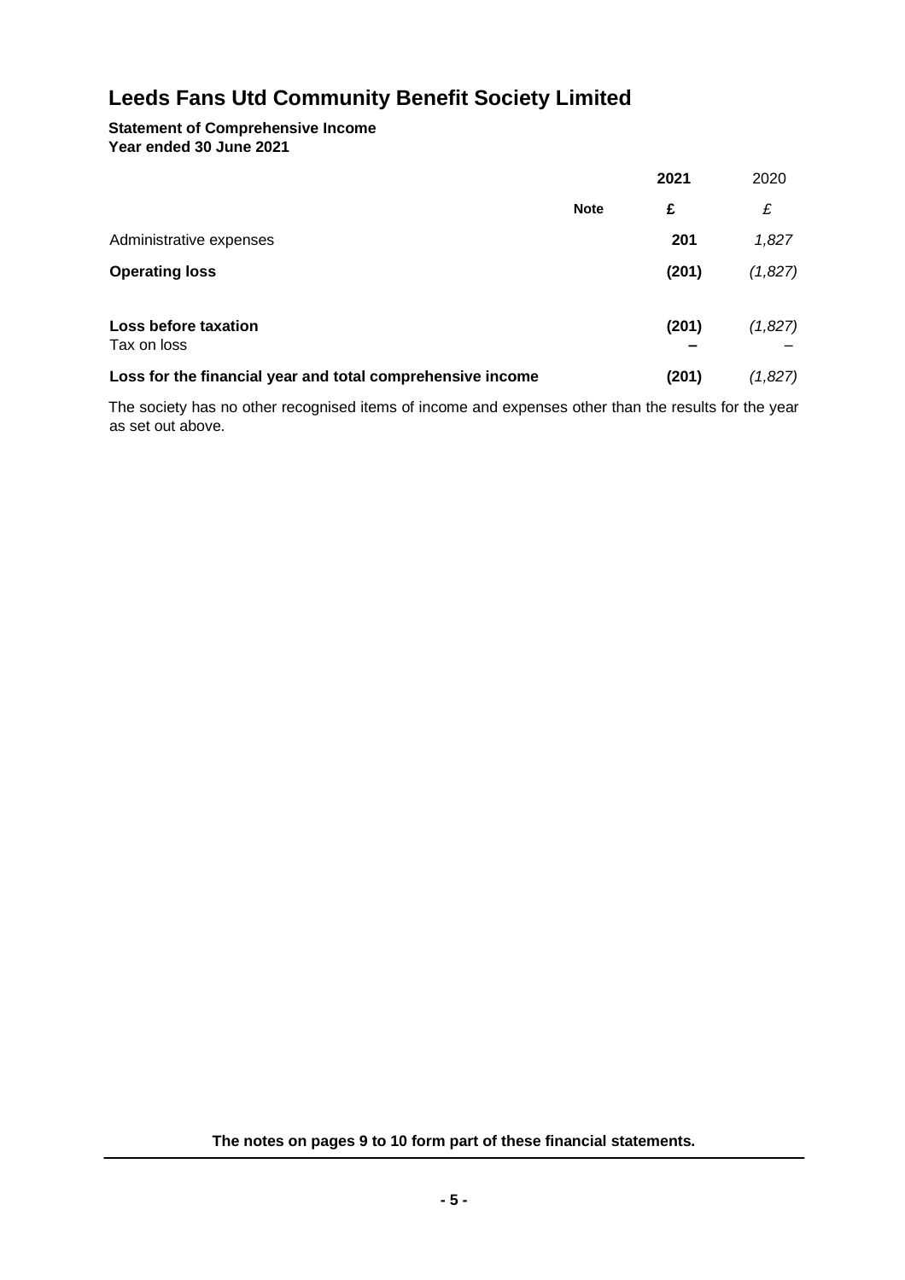#### **Statement of Comprehensive Income Year ended 30 June 2021**

|                                                            |             | 2021  | 2020    |
|------------------------------------------------------------|-------------|-------|---------|
|                                                            | <b>Note</b> | £     | £       |
| Administrative expenses                                    |             | 201   | 1,827   |
| <b>Operating loss</b>                                      |             | (201) | (1,827) |
| Loss before taxation<br>Tax on loss                        |             | (201) | (1,827) |
| Loss for the financial year and total comprehensive income |             | (201) | (1,827) |

The society has no other recognised items of income and expenses other than the results for the year as set out above.

**The notes on pages 9 to 10 form part of these financial statements.**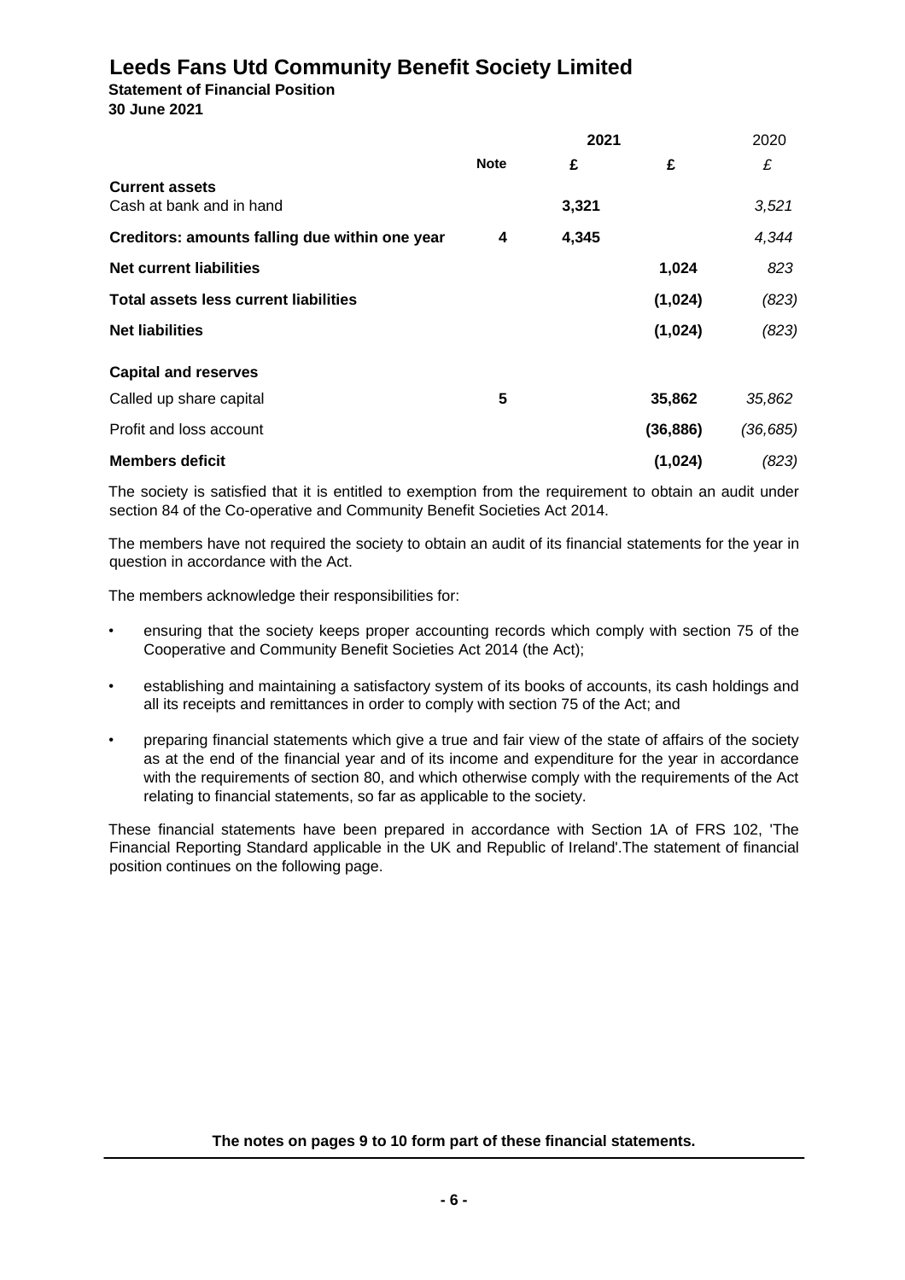**Statement of Financial Position 30 June 2021** 

|                                                   | 2021        |       |           | 2020      |
|---------------------------------------------------|-------------|-------|-----------|-----------|
|                                                   | <b>Note</b> | £     | £         | £         |
| <b>Current assets</b><br>Cash at bank and in hand |             | 3,321 |           | 3,521     |
| Creditors: amounts falling due within one year    | 4           | 4,345 |           | 4,344     |
| <b>Net current liabilities</b>                    |             |       | 1,024     | 823       |
| <b>Total assets less current liabilities</b>      |             |       | (1,024)   | (823)     |
| <b>Net liabilities</b>                            |             |       | (1,024)   | (823)     |
| <b>Capital and reserves</b>                       |             |       |           |           |
| Called up share capital                           | 5           |       | 35,862    | 35,862    |
| Profit and loss account                           |             |       | (36, 886) | (36, 685) |
| <b>Members deficit</b>                            |             |       | (1,024)   | (823)     |

The society is satisfied that it is entitled to exemption from the requirement to obtain an audit under section 84 of the Co-operative and Community Benefit Societies Act 2014.

The members have not required the society to obtain an audit of its financial statements for the year in question in accordance with the Act.

The members acknowledge their responsibilities for:

- ensuring that the society keeps proper accounting records which comply with section 75 of the Cooperative and Community Benefit Societies Act 2014 (the Act);
- establishing and maintaining a satisfactory system of its books of accounts, its cash holdings and all its receipts and remittances in order to comply with section 75 of the Act; and
- preparing financial statements which give a true and fair view of the state of affairs of the society as at the end of the financial year and of its income and expenditure for the year in accordance with the requirements of section 80, and which otherwise comply with the requirements of the Act relating to financial statements, so far as applicable to the society.

These financial statements have been prepared in accordance with Section 1A of FRS 102, 'The Financial Reporting Standard applicable in the UK and Republic of Ireland'.The statement of financial position continues on the following page.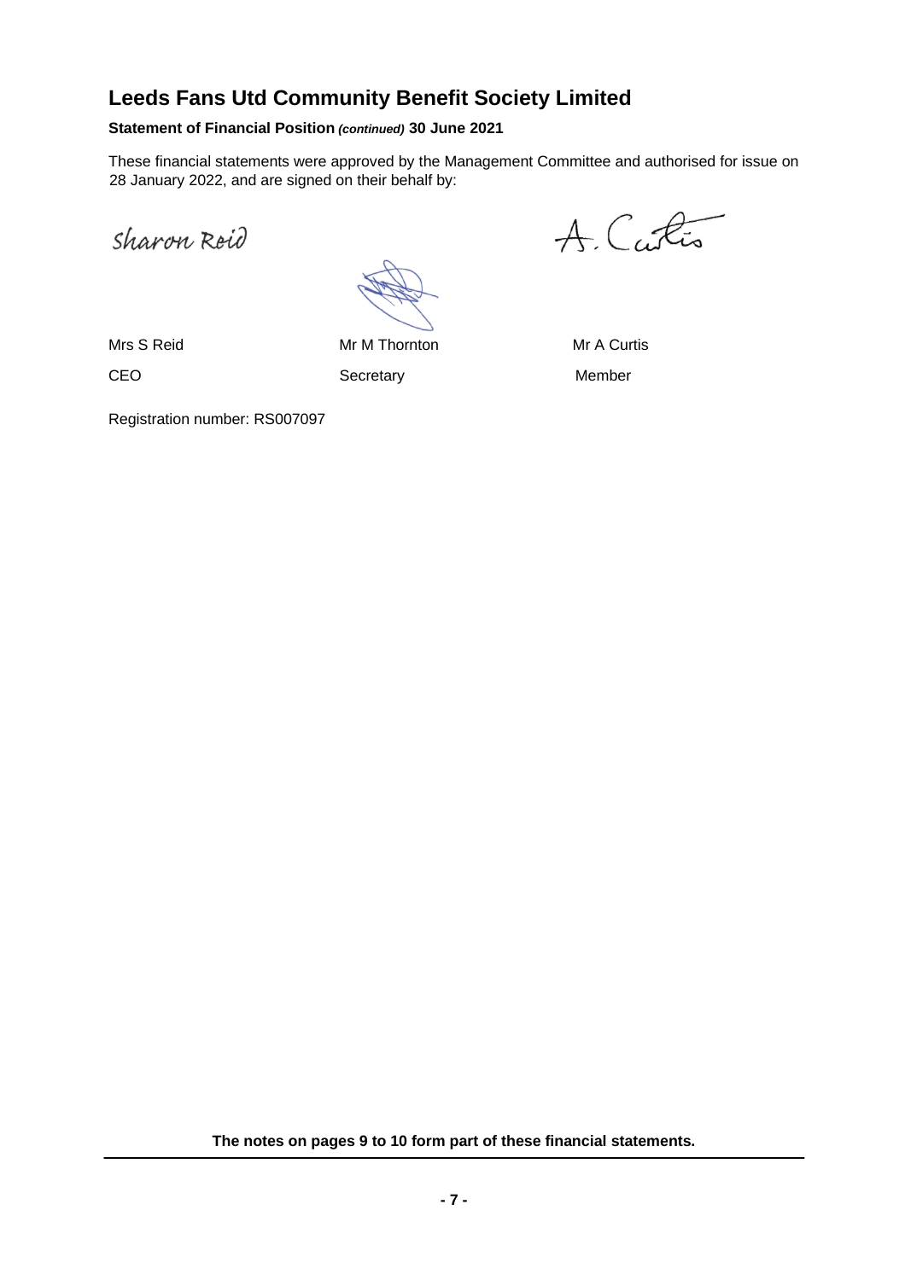### **Statement of Financial Position** *(continued)* **30 June 2021**

These financial statements were approved by the Management Committee and authorised for issue on 28 January 2022, and are signed on their behalf by:

Sharon Reid

Mrs S Reid Mr M Thornton Mr M Thornton Mr A Curtis CEO Secretary Secretary Member

A. Curtis

Registration number: RS007097

**The notes on pages 9 to 10 form part of these financial statements.**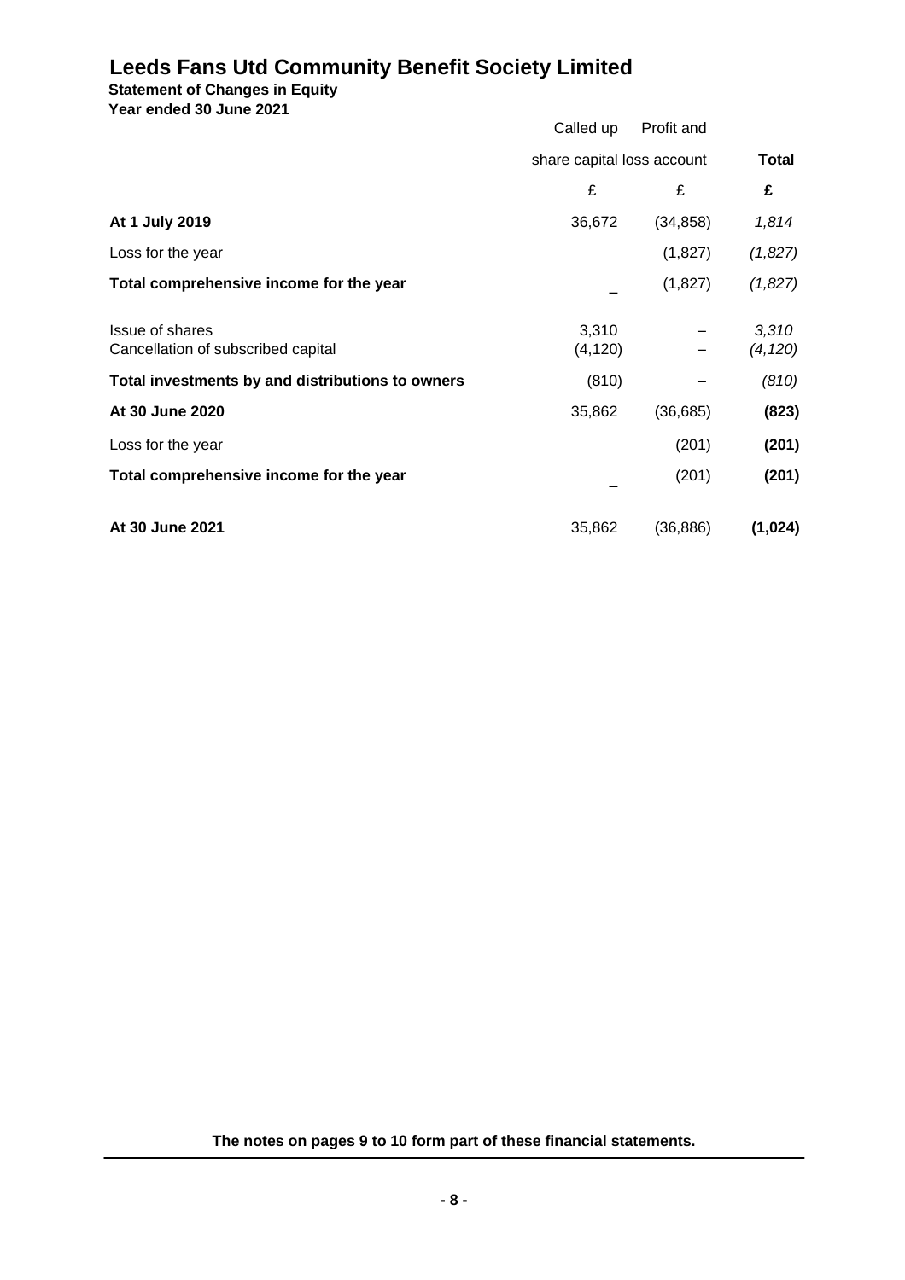**Statement of Changes in Equity**

**Year ended 30 June 2021** 

| TCAT CHUCU YU VUHC ZVZ I                                     | Called up                  | Profit and |                   |
|--------------------------------------------------------------|----------------------------|------------|-------------------|
|                                                              | share capital loss account |            | <b>Total</b>      |
|                                                              | £                          | £          | £                 |
| At 1 July 2019                                               | 36,672                     | (34, 858)  | 1,814             |
| Loss for the year                                            |                            | (1,827)    | (1,827)           |
| Total comprehensive income for the year                      |                            | (1,827)    | (1,827)           |
| <b>Issue of shares</b><br>Cancellation of subscribed capital | 3,310<br>(4, 120)          |            | 3,310<br>(4, 120) |
| Total investments by and distributions to owners             | (810)                      |            | (810)             |
| At 30 June 2020                                              | 35,862                     | (36, 685)  | (823)             |
| Loss for the year                                            |                            | (201)      | (201)             |
| Total comprehensive income for the year                      |                            | (201)      | (201)             |
| At 30 June 2021                                              | 35,862                     | (36, 886)  | (1,024)           |

**The notes on pages 9 to 10 form part of these financial statements.**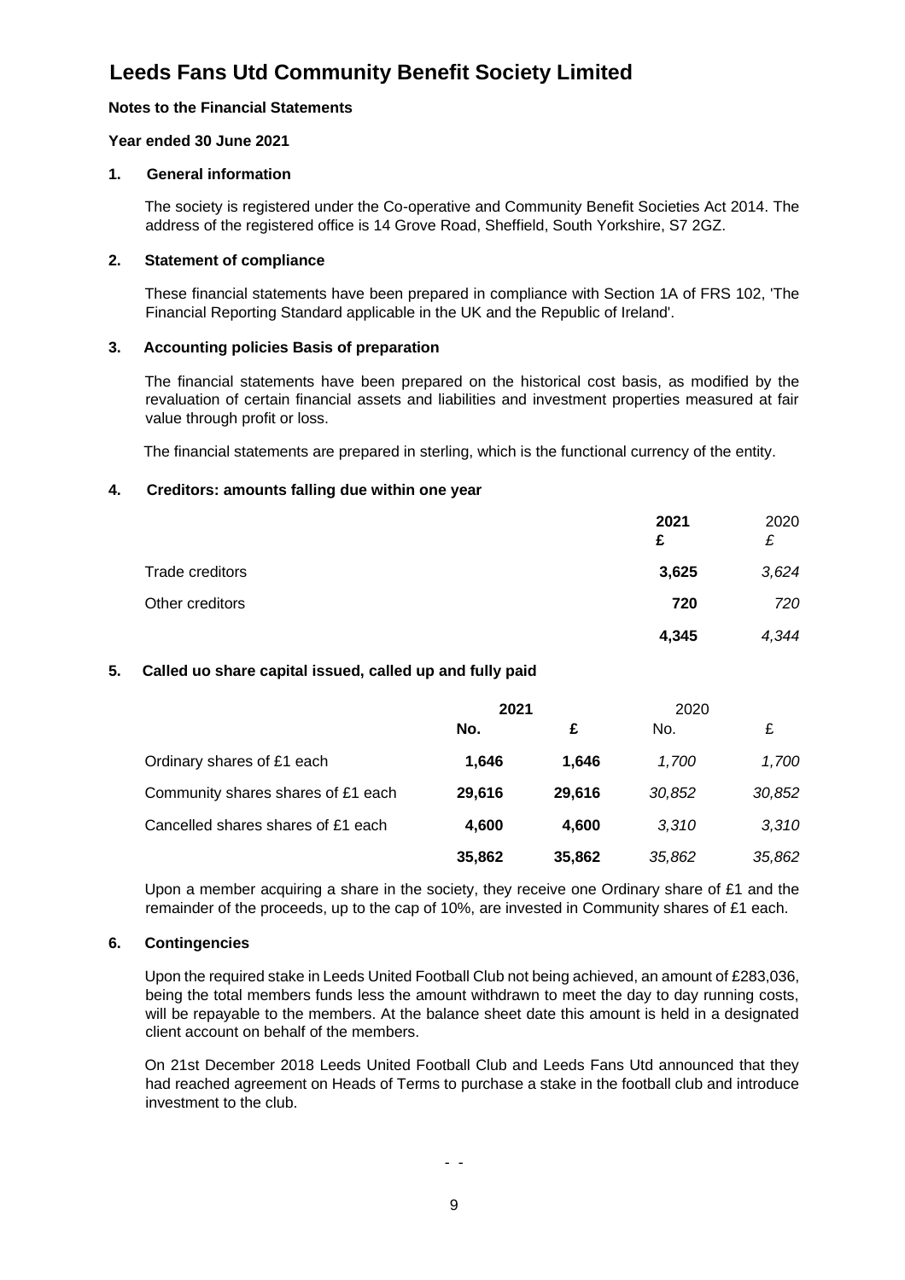### **Notes to the Financial Statements**

#### **Year ended 30 June 2021**

#### **1. General information**

The society is registered under the Co-operative and Community Benefit Societies Act 2014. The address of the registered office is 14 Grove Road, Sheffield, South Yorkshire, S7 2GZ.

#### **2. Statement of compliance**

These financial statements have been prepared in compliance with Section 1A of FRS 102, 'The Financial Reporting Standard applicable in the UK and the Republic of Ireland'.

### **3. Accounting policies Basis of preparation**

The financial statements have been prepared on the historical cost basis, as modified by the revaluation of certain financial assets and liabilities and investment properties measured at fair value through profit or loss.

The financial statements are prepared in sterling, which is the functional currency of the entity.

#### **4. Creditors: amounts falling due within one year**

|                 | 2021<br>£ | 2020<br>£ |
|-----------------|-----------|-----------|
| Trade creditors | 3,625     | 3,624     |
| Other creditors | 720       | 720       |
|                 | 4,345     | 4,344     |

#### **5. Called uo share capital issued, called up and fully paid**

|                                    | 2021   |        | 2020   |        |
|------------------------------------|--------|--------|--------|--------|
|                                    | No.    | £      | No.    | £      |
| Ordinary shares of £1 each         | 1.646  | 1.646  | 1.700  | 1,700  |
| Community shares shares of £1 each | 29,616 | 29.616 | 30,852 | 30,852 |
| Cancelled shares shares of £1 each | 4,600  | 4.600  | 3.310  | 3,310  |
|                                    | 35,862 | 35,862 | 35,862 | 35,862 |

Upon a member acquiring a share in the society, they receive one Ordinary share of £1 and the remainder of the proceeds, up to the cap of 10%, are invested in Community shares of £1 each.

### **6. Contingencies**

Upon the required stake in Leeds United Football Club not being achieved, an amount of £283,036, being the total members funds less the amount withdrawn to meet the day to day running costs, will be repayable to the members. At the balance sheet date this amount is held in a designated client account on behalf of the members.

On 21st December 2018 Leeds United Football Club and Leeds Fans Utd announced that they had reached agreement on Heads of Terms to purchase a stake in the football club and introduce investment to the club.